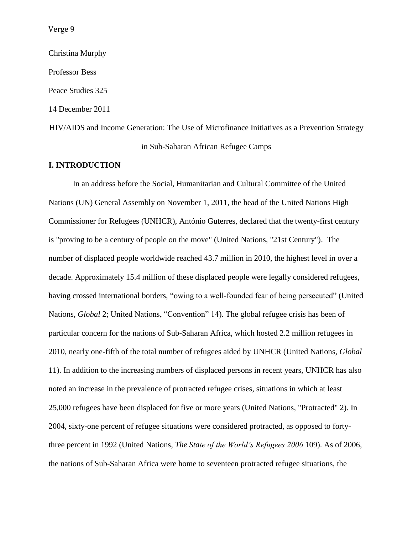Christina Murphy Professor Bess Peace Studies 325 14 December 2011 HIV/AIDS and Income Generation: The Use of Microfinance Initiatives as a Prevention Strategy in Sub-Saharan African Refugee Camps

# **I. INTRODUCTION**

In an address before the Social, Humanitarian and Cultural Committee of the United Nations (UN) General Assembly on November 1, 2011, the head of the United Nations High Commissioner for Refugees (UNHCR), António Guterres, declared that the twenty-first century is "proving to be a century of people on the move" (United Nations, "21st Century"). The number of displaced people worldwide reached 43.7 million in 2010, the highest level in over a decade. Approximately 15.4 million of these displaced people were legally considered refugees, having crossed international borders, "owing to a well-founded fear of being persecuted" (United Nations, *Global* 2; United Nations, "Convention" 14). The global refugee crisis has been of particular concern for the nations of Sub-Saharan Africa, which hosted 2.2 million refugees in 2010, nearly one-fifth of the total number of refugees aided by UNHCR (United Nations, *Global* 11). In addition to the increasing numbers of displaced persons in recent years, UNHCR has also noted an increase in the prevalence of protracted refugee crises, situations in which at least 25,000 refugees have been displaced for five or more years (United Nations, "Protracted" 2). In 2004, sixty-one percent of refugee situations were considered protracted, as opposed to fortythree percent in 1992 (United Nations, *The State of the World's Refugees 2006* 109). As of 2006, the nations of Sub-Saharan Africa were home to seventeen protracted refugee situations, the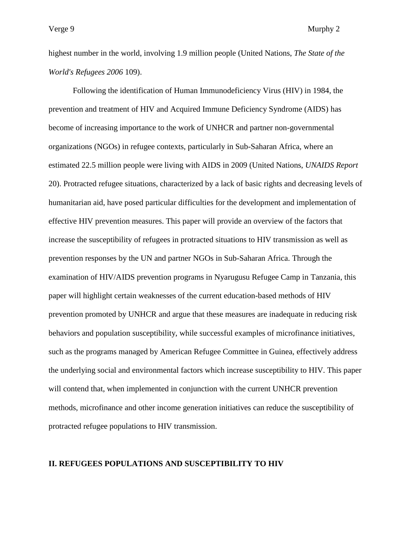highest number in the world, involving 1.9 million people (United Nations, *The State of the World's Refugees 2006* 109).

Following the identification of Human Immunodeficiency Virus (HIV) in 1984, the prevention and treatment of HIV and Acquired Immune Deficiency Syndrome (AIDS) has become of increasing importance to the work of UNHCR and partner non-governmental organizations (NGOs) in refugee contexts, particularly in Sub-Saharan Africa, where an estimated 22.5 million people were living with AIDS in 2009 (United Nations, *UNAIDS Report* 20). Protracted refugee situations, characterized by a lack of basic rights and decreasing levels of humanitarian aid, have posed particular difficulties for the development and implementation of effective HIV prevention measures. This paper will provide an overview of the factors that increase the susceptibility of refugees in protracted situations to HIV transmission as well as prevention responses by the UN and partner NGOs in Sub-Saharan Africa. Through the examination of HIV/AIDS prevention programs in Nyarugusu Refugee Camp in Tanzania, this paper will highlight certain weaknesses of the current education-based methods of HIV prevention promoted by UNHCR and argue that these measures are inadequate in reducing risk behaviors and population susceptibility, while successful examples of microfinance initiatives, such as the programs managed by American Refugee Committee in Guinea, effectively address the underlying social and environmental factors which increase susceptibility to HIV. This paper will contend that, when implemented in conjunction with the current UNHCR prevention methods, microfinance and other income generation initiatives can reduce the susceptibility of protracted refugee populations to HIV transmission.

## **II. REFUGEES POPULATIONS AND SUSCEPTIBILITY TO HIV**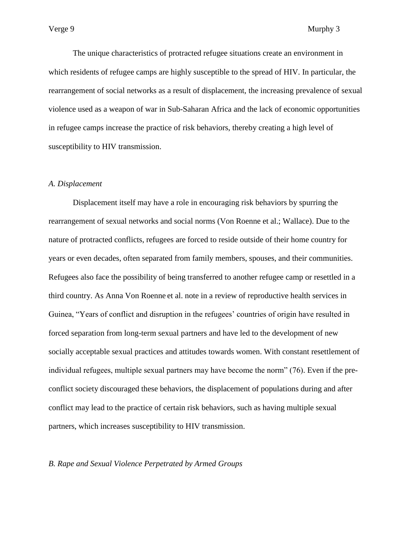The unique characteristics of protracted refugee situations create an environment in which residents of refugee camps are highly susceptible to the spread of HIV. In particular, the rearrangement of social networks as a result of displacement, the increasing prevalence of sexual violence used as a weapon of war in Sub-Saharan Africa and the lack of economic opportunities in refugee camps increase the practice of risk behaviors, thereby creating a high level of susceptibility to HIV transmission.

# *A. Displacement*

Displacement itself may have a role in encouraging risk behaviors by spurring the rearrangement of sexual networks and social norms (Von Roenne et al.; Wallace). Due to the nature of protracted conflicts, refugees are forced to reside outside of their home country for years or even decades, often separated from family members, spouses, and their communities. Refugees also face the possibility of being transferred to another refugee camp or resettled in a third country. As Anna Von Roenne et al. note in a review of reproductive health services in Guinea, "Years of conflict and disruption in the refugees' countries of origin have resulted in forced separation from long-term sexual partners and have led to the development of new socially acceptable sexual practices and attitudes towards women. With constant resettlement of individual refugees, multiple sexual partners may have become the norm" (76). Even if the preconflict society discouraged these behaviors, the displacement of populations during and after conflict may lead to the practice of certain risk behaviors, such as having multiple sexual partners, which increases susceptibility to HIV transmission.

#### *B. Rape and Sexual Violence Perpetrated by Armed Groups*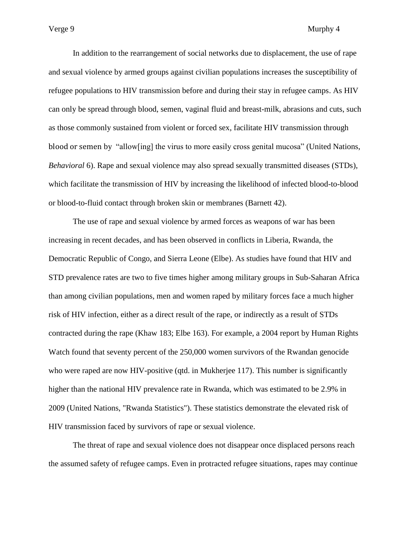In addition to the rearrangement of social networks due to displacement, the use of rape and sexual violence by armed groups against civilian populations increases the susceptibility of refugee populations to HIV transmission before and during their stay in refugee camps. As HIV can only be spread through blood, semen, vaginal fluid and breast-milk, abrasions and cuts, such as those commonly sustained from violent or forced sex, facilitate HIV transmission through blood or semen by "allow[ing] the virus to more easily cross genital mucosa" (United Nations, *Behavioral* 6). Rape and sexual violence may also spread sexually transmitted diseases (STDs), which facilitate the transmission of HIV by increasing the likelihood of infected blood-to-blood or blood-to-fluid contact through broken skin or membranes (Barnett 42).

The use of rape and sexual violence by armed forces as weapons of war has been increasing in recent decades, and has been observed in conflicts in Liberia, Rwanda, the Democratic Republic of Congo, and Sierra Leone (Elbe). As studies have found that HIV and STD prevalence rates are two to five times higher among military groups in Sub-Saharan Africa than among civilian populations, men and women raped by military forces face a much higher risk of HIV infection, either as a direct result of the rape, or indirectly as a result of STDs contracted during the rape (Khaw 183; Elbe 163). For example, a 2004 report by Human Rights Watch found that seventy percent of the 250,000 women survivors of the Rwandan genocide who were raped are now HIV-positive (qtd. in Mukherjee 117). This number is significantly higher than the national HIV prevalence rate in Rwanda, which was estimated to be 2.9% in 2009 (United Nations, "Rwanda Statistics"). These statistics demonstrate the elevated risk of HIV transmission faced by survivors of rape or sexual violence.

The threat of rape and sexual violence does not disappear once displaced persons reach the assumed safety of refugee camps. Even in protracted refugee situations, rapes may continue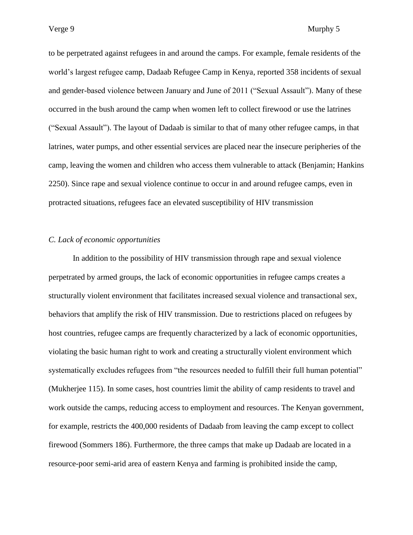to be perpetrated against refugees in and around the camps. For example, female residents of the world"s largest refugee camp, Dadaab Refugee Camp in Kenya, reported 358 incidents of sexual and gender-based violence between January and June of 2011 ("Sexual Assault"). Many of these occurred in the bush around the camp when women left to collect firewood or use the latrines ("Sexual Assault"). The layout of Dadaab is similar to that of many other refugee camps, in that latrines, water pumps, and other essential services are placed near the insecure peripheries of the camp, leaving the women and children who access them vulnerable to attack (Benjamin; Hankins 2250). Since rape and sexual violence continue to occur in and around refugee camps, even in protracted situations, refugees face an elevated susceptibility of HIV transmission

## *C. Lack of economic opportunities*

In addition to the possibility of HIV transmission through rape and sexual violence perpetrated by armed groups, the lack of economic opportunities in refugee camps creates a structurally violent environment that facilitates increased sexual violence and transactional sex, behaviors that amplify the risk of HIV transmission. Due to restrictions placed on refugees by host countries, refugee camps are frequently characterized by a lack of economic opportunities, violating the basic human right to work and creating a structurally violent environment which systematically excludes refugees from "the resources needed to fulfill their full human potential" (Mukherjee 115). In some cases, host countries limit the ability of camp residents to travel and work outside the camps, reducing access to employment and resources. The Kenyan government, for example, restricts the 400,000 residents of Dadaab from leaving the camp except to collect firewood (Sommers 186). Furthermore, the three camps that make up Dadaab are located in a resource-poor semi-arid area of eastern Kenya and farming is prohibited inside the camp,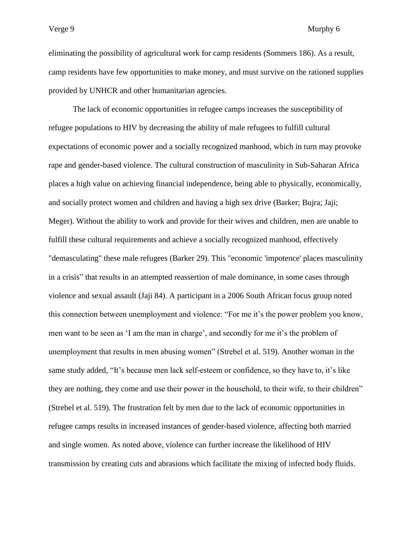eliminating the possibility of agricultural work for camp residents (Sommers 186). As a result, camp residents have few opportunities to make money, and must survive on the rationed supplies provided by UNHCR and other humanitarian agencies.

The lack of economic opportunities in refugee camps increases the susceptibility of refugee populations to HIV by decreasing the ability of male refugees to fulfill cultural expectations of economic power and a socially recognized manhood, which in turn may provoke rape and gender-based violence. The cultural construction of masculinity in Sub-Saharan Africa places a high value on achieving financial independence, being able to physically, economically, and socially protect women and children and having a high sex drive (Barker; Bujra; Jaji; Meger). Without the ability to work and provide for their wives and children, men are unable to fulfill these cultural requirements and achieve a socially recognized manhood, effectively "demasculating" these male refugees (Barker 29). This "economic 'impotence' places masculinity in a crisis" that results in an attempted reassertion of male dominance, in some cases through violence and sexual assault (Jaji 84). A participant in a 2006 South African focus group noted this connection between unemployment and violence: "For me it"s the power problem you know, men want to be seen as 'I am the man in charge', and secondly for me it's the problem of unemployment that results in men abusing women" (Strebel et al. 519). Another woman in the same study added, "It's because men lack self-esteem or confidence, so they have to, it's like they are nothing, they come and use their power in the household, to their wife, to their children" (Strebel et al. 519). The frustration felt by men due to the lack of economic opportunities in refugee camps results in increased instances of gender-based violence, affecting both married and single women. As noted above, violence can further increase the likelihood of HIV transmission by creating cuts and abrasions which facilitate the mixing of infected body fluids.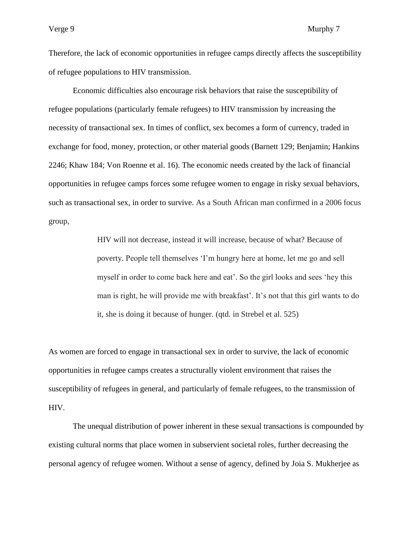Therefore, the lack of economic opportunities in refugee camps directly affects the susceptibility of refugee populations to HIV transmission.

Economic difficulties also encourage risk behaviors that raise the susceptibility of refugee populations (particularly female refugees) to HIV transmission by increasing the necessity of transactional sex. In times of conflict, sex becomes a form of currency, traded in exchange for food, money, protection, or other material goods (Barnett 129; Benjamin; Hankins 2246; Khaw 184; Von Roenne et al. 16). The economic needs created by the lack of financial opportunities in refugee camps forces some refugee women to engage in risky sexual behaviors, such as transactional sex, in order to survive. As a South African man confirmed in a 2006 focus group,

> HIV will not decrease, instead it will increase, because of what? Because of poverty. People tell themselves "I"m hungry here at home, let me go and sell myself in order to come back here and eat'. So the girl looks and sees 'hey this man is right, he will provide me with breakfast'. It's not that this girl wants to do it, she is doing it because of hunger. (qtd. in Strebel et al. 525)

As women are forced to engage in transactional sex in order to survive, the lack of economic opportunities in refugee camps creates a structurally violent environment that raises the susceptibility of refugees in general, and particularly of female refugees, to the transmission of HIV.

The unequal distribution of power inherent in these sexual transactions is compounded by existing cultural norms that place women in subservient societal roles, further decreasing the personal agency of refugee women. Without a sense of agency, defined by Joia S. Mukherjee as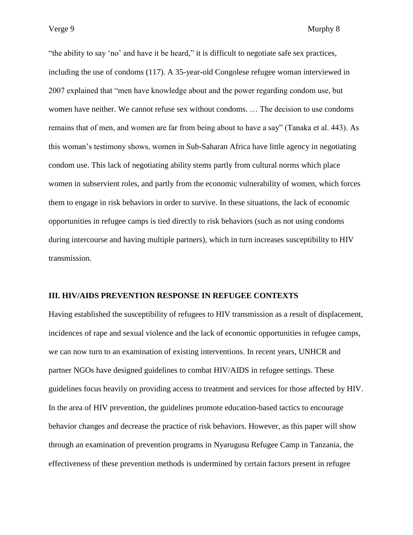"the ability to say "no" and have it be heard," it is difficult to negotiate safe sex practices, including the use of condoms (117). A 35-year-old Congolese refugee woman interviewed in 2007 explained that "men have knowledge about and the power regarding condom use, but women have neither. We cannot refuse sex without condoms. … The decision to use condoms remains that of men, and women are far from being about to have a say" (Tanaka et al. 443). As this woman"s testimony shows, women in Sub-Saharan Africa have little agency in negotiating condom use. This lack of negotiating ability stems partly from cultural norms which place women in subservient roles, and partly from the economic vulnerability of women, which forces them to engage in risk behaviors in order to survive. In these situations, the lack of economic opportunities in refugee camps is tied directly to risk behaviors (such as not using condoms during intercourse and having multiple partners), which in turn increases susceptibility to HIV transmission.

## **III. HIV/AIDS PREVENTION RESPONSE IN REFUGEE CONTEXTS**

Having established the susceptibility of refugees to HIV transmission as a result of displacement, incidences of rape and sexual violence and the lack of economic opportunities in refugee camps, we can now turn to an examination of existing interventions. In recent years, UNHCR and partner NGOs have designed guidelines to combat HIV/AIDS in refugee settings. These guidelines focus heavily on providing access to treatment and services for those affected by HIV. In the area of HIV prevention, the guidelines promote education-based tactics to encourage behavior changes and decrease the practice of risk behaviors. However, as this paper will show through an examination of prevention programs in Nyarugusu Refugee Camp in Tanzania, the effectiveness of these prevention methods is undermined by certain factors present in refugee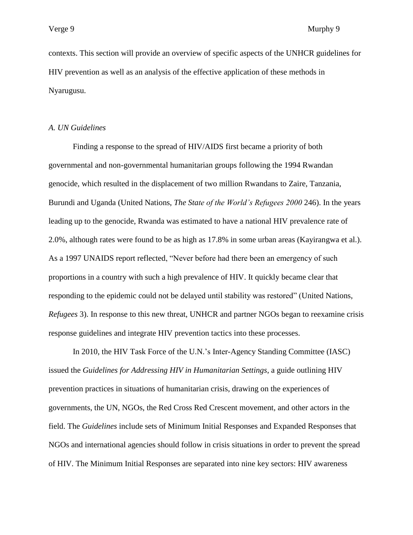contexts. This section will provide an overview of specific aspects of the UNHCR guidelines for HIV prevention as well as an analysis of the effective application of these methods in Nyarugusu.

## *A. UN Guidelines*

Finding a response to the spread of HIV/AIDS first became a priority of both governmental and non-governmental humanitarian groups following the 1994 Rwandan genocide, which resulted in the displacement of two million Rwandans to Zaire, Tanzania, Burundi and Uganda (United Nations, *The State of the World's Refugees 2000* 246). In the years leading up to the genocide, Rwanda was estimated to have a national HIV prevalence rate of 2.0%, although rates were found to be as high as 17.8% in some urban areas (Kayirangwa et al.). As a 1997 UNAIDS report reflected, "Never before had there been an emergency of such proportions in a country with such a high prevalence of HIV. It quickly became clear that responding to the epidemic could not be delayed until stability was restored" (United Nations, *Refugees* 3). In response to this new threat, UNHCR and partner NGOs began to reexamine crisis response guidelines and integrate HIV prevention tactics into these processes.

In 2010, the HIV Task Force of the U.N."s Inter-Agency Standing Committee (IASC) issued the *Guidelines for Addressing HIV in Humanitarian Settings*, a guide outlining HIV prevention practices in situations of humanitarian crisis, drawing on the experiences of governments, the UN, NGOs, the Red Cross Red Crescent movement, and other actors in the field. The *Guidelines* include sets of Minimum Initial Responses and Expanded Responses that NGOs and international agencies should follow in crisis situations in order to prevent the spread of HIV. The Minimum Initial Responses are separated into nine key sectors: HIV awareness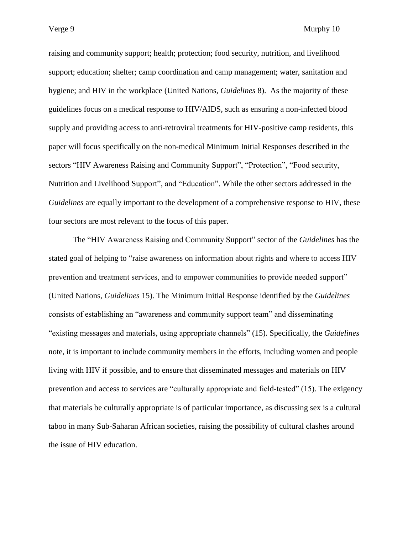raising and community support; health; protection; food security, nutrition, and livelihood support; education; shelter; camp coordination and camp management; water, sanitation and hygiene; and HIV in the workplace (United Nations, *Guidelines* 8). As the majority of these guidelines focus on a medical response to HIV/AIDS, such as ensuring a non-infected blood supply and providing access to anti-retroviral treatments for HIV-positive camp residents, this paper will focus specifically on the non-medical Minimum Initial Responses described in the sectors "HIV Awareness Raising and Community Support", "Protection", "Food security, Nutrition and Livelihood Support", and "Education". While the other sectors addressed in the *Guidelines* are equally important to the development of a comprehensive response to HIV, these four sectors are most relevant to the focus of this paper.

The "HIV Awareness Raising and Community Support" sector of the *Guidelines* has the stated goal of helping to "raise awareness on information about rights and where to access HIV prevention and treatment services, and to empower communities to provide needed support" (United Nations, *Guidelines* 15). The Minimum Initial Response identified by the *Guidelines* consists of establishing an "awareness and community support team" and disseminating "existing messages and materials, using appropriate channels" (15). Specifically, the *Guidelines* note, it is important to include community members in the efforts, including women and people living with HIV if possible, and to ensure that disseminated messages and materials on HIV prevention and access to services are "culturally appropriate and field-tested" (15). The exigency that materials be culturally appropriate is of particular importance, as discussing sex is a cultural taboo in many Sub-Saharan African societies, raising the possibility of cultural clashes around the issue of HIV education.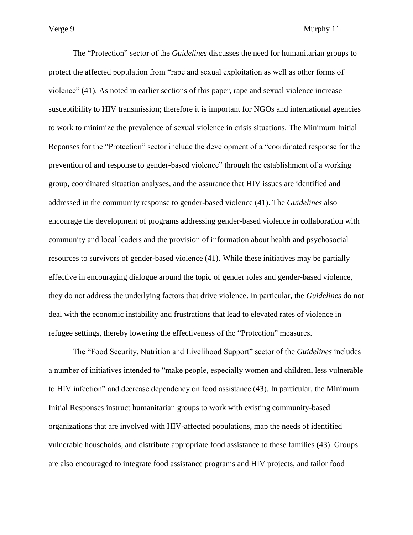The "Protection" sector of the *Guidelines* discusses the need for humanitarian groups to protect the affected population from "rape and sexual exploitation as well as other forms of violence" (41). As noted in earlier sections of this paper, rape and sexual violence increase susceptibility to HIV transmission; therefore it is important for NGOs and international agencies to work to minimize the prevalence of sexual violence in crisis situations. The Minimum Initial Reponses for the "Protection" sector include the development of a "coordinated response for the prevention of and response to gender-based violence" through the establishment of a working group, coordinated situation analyses, and the assurance that HIV issues are identified and addressed in the community response to gender-based violence (41). The *Guidelines* also encourage the development of programs addressing gender-based violence in collaboration with community and local leaders and the provision of information about health and psychosocial resources to survivors of gender-based violence (41). While these initiatives may be partially effective in encouraging dialogue around the topic of gender roles and gender-based violence, they do not address the underlying factors that drive violence. In particular, the *Guidelines* do not deal with the economic instability and frustrations that lead to elevated rates of violence in refugee settings, thereby lowering the effectiveness of the "Protection" measures.

The "Food Security, Nutrition and Livelihood Support" sector of the *Guidelines* includes a number of initiatives intended to "make people, especially women and children, less vulnerable to HIV infection" and decrease dependency on food assistance (43). In particular, the Minimum Initial Responses instruct humanitarian groups to work with existing community-based organizations that are involved with HIV-affected populations, map the needs of identified vulnerable households, and distribute appropriate food assistance to these families (43). Groups are also encouraged to integrate food assistance programs and HIV projects, and tailor food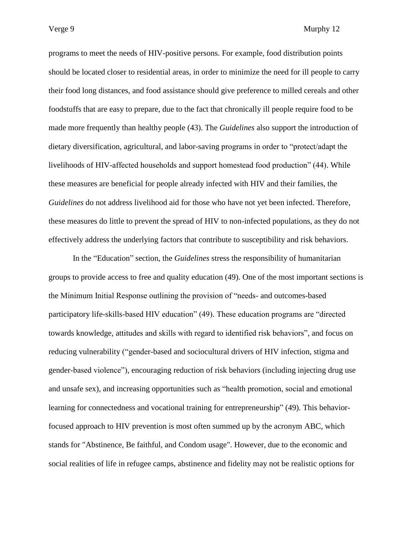programs to meet the needs of HIV-positive persons. For example, food distribution points should be located closer to residential areas, in order to minimize the need for ill people to carry their food long distances, and food assistance should give preference to milled cereals and other foodstuffs that are easy to prepare, due to the fact that chronically ill people require food to be made more frequently than healthy people (43). The *Guidelines* also support the introduction of dietary diversification, agricultural, and labor-saving programs in order to "protect/adapt the livelihoods of HIV-affected households and support homestead food production" (44). While these measures are beneficial for people already infected with HIV and their families, the *Guidelines* do not address livelihood aid for those who have not yet been infected. Therefore, these measures do little to prevent the spread of HIV to non-infected populations, as they do not effectively address the underlying factors that contribute to susceptibility and risk behaviors.

In the "Education" section, the *Guidelines* stress the responsibility of humanitarian groups to provide access to free and quality education (49). One of the most important sections is the Minimum Initial Response outlining the provision of "needs- and outcomes-based participatory life-skills-based HIV education" (49). These education programs are "directed towards knowledge, attitudes and skills with regard to identified risk behaviors", and focus on reducing vulnerability ("gender-based and sociocultural drivers of HIV infection, stigma and gender-based violence"), encouraging reduction of risk behaviors (including injecting drug use and unsafe sex), and increasing opportunities such as "health promotion, social and emotional learning for connectedness and vocational training for entrepreneurship" (49). This behaviorfocused approach to HIV prevention is most often summed up by the acronym ABC, which stands for "Abstinence, Be faithful, and Condom usage". However, due to the economic and social realities of life in refugee camps, abstinence and fidelity may not be realistic options for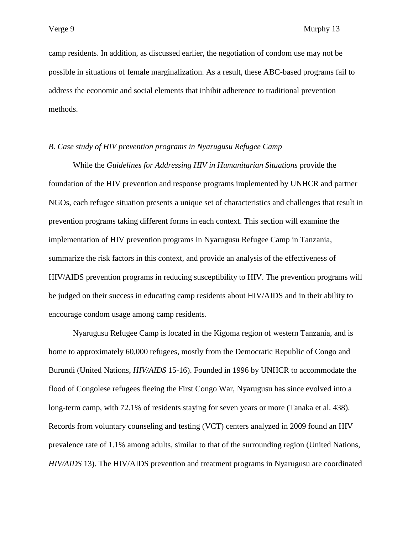camp residents. In addition, as discussed earlier, the negotiation of condom use may not be possible in situations of female marginalization. As a result, these ABC-based programs fail to address the economic and social elements that inhibit adherence to traditional prevention methods.

## *B. Case study of HIV prevention programs in Nyarugusu Refugee Camp*

While the *Guidelines for Addressing HIV in Humanitarian Situations* provide the foundation of the HIV prevention and response programs implemented by UNHCR and partner NGOs, each refugee situation presents a unique set of characteristics and challenges that result in prevention programs taking different forms in each context. This section will examine the implementation of HIV prevention programs in Nyarugusu Refugee Camp in Tanzania, summarize the risk factors in this context, and provide an analysis of the effectiveness of HIV/AIDS prevention programs in reducing susceptibility to HIV. The prevention programs will be judged on their success in educating camp residents about HIV/AIDS and in their ability to encourage condom usage among camp residents.

Nyarugusu Refugee Camp is located in the Kigoma region of western Tanzania, and is home to approximately 60,000 refugees, mostly from the Democratic Republic of Congo and Burundi (United Nations, *HIV/AIDS* 15-16). Founded in 1996 by UNHCR to accommodate the flood of Congolese refugees fleeing the First Congo War, Nyarugusu has since evolved into a long-term camp, with 72.1% of residents staying for seven years or more (Tanaka et al. 438). Records from voluntary counseling and testing (VCT) centers analyzed in 2009 found an HIV prevalence rate of 1.1% among adults, similar to that of the surrounding region (United Nations, *HIV/AIDS* 13). The HIV/AIDS prevention and treatment programs in Nyarugusu are coordinated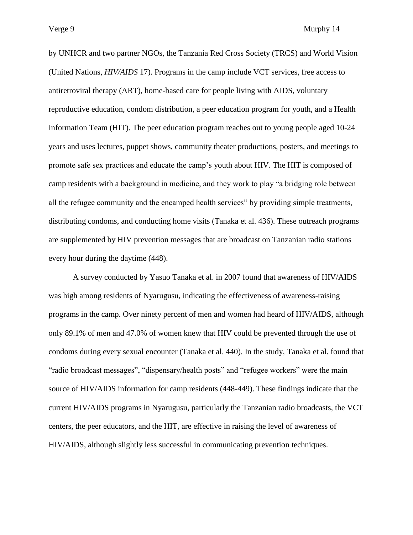by UNHCR and two partner NGOs, the Tanzania Red Cross Society (TRCS) and World Vision (United Nations, *HIV/AIDS* 17). Programs in the camp include VCT services, free access to antiretroviral therapy (ART), home-based care for people living with AIDS, voluntary reproductive education, condom distribution, a peer education program for youth, and a Health Information Team (HIT). The peer education program reaches out to young people aged 10-24 years and uses lectures, puppet shows, community theater productions, posters, and meetings to promote safe sex practices and educate the camp"s youth about HIV. The HIT is composed of camp residents with a background in medicine, and they work to play "a bridging role between all the refugee community and the encamped health services" by providing simple treatments, distributing condoms, and conducting home visits (Tanaka et al. 436). These outreach programs are supplemented by HIV prevention messages that are broadcast on Tanzanian radio stations every hour during the daytime (448).

A survey conducted by Yasuo Tanaka et al. in 2007 found that awareness of HIV/AIDS was high among residents of Nyarugusu, indicating the effectiveness of awareness-raising programs in the camp. Over ninety percent of men and women had heard of HIV/AIDS, although only 89.1% of men and 47.0% of women knew that HIV could be prevented through the use of condoms during every sexual encounter (Tanaka et al. 440). In the study, Tanaka et al. found that "radio broadcast messages", "dispensary/health posts" and "refugee workers" were the main source of HIV/AIDS information for camp residents (448-449). These findings indicate that the current HIV/AIDS programs in Nyarugusu, particularly the Tanzanian radio broadcasts, the VCT centers, the peer educators, and the HIT, are effective in raising the level of awareness of HIV/AIDS, although slightly less successful in communicating prevention techniques.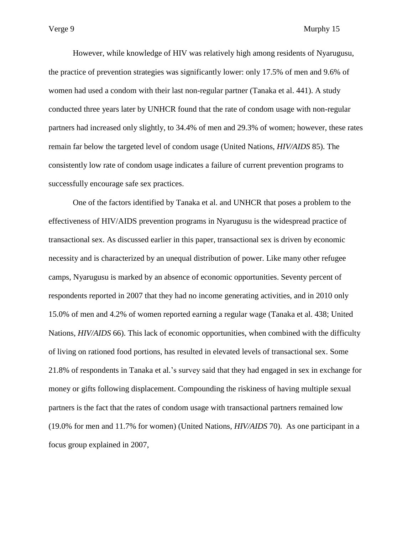However, while knowledge of HIV was relatively high among residents of Nyarugusu, the practice of prevention strategies was significantly lower: only 17.5% of men and 9.6% of women had used a condom with their last non-regular partner (Tanaka et al. 441). A study conducted three years later by UNHCR found that the rate of condom usage with non-regular partners had increased only slightly, to 34.4% of men and 29.3% of women; however, these rates remain far below the targeted level of condom usage (United Nations, *HIV/AIDS* 85). The consistently low rate of condom usage indicates a failure of current prevention programs to successfully encourage safe sex practices.

One of the factors identified by Tanaka et al. and UNHCR that poses a problem to the effectiveness of HIV/AIDS prevention programs in Nyarugusu is the widespread practice of transactional sex. As discussed earlier in this paper, transactional sex is driven by economic necessity and is characterized by an unequal distribution of power. Like many other refugee camps, Nyarugusu is marked by an absence of economic opportunities. Seventy percent of respondents reported in 2007 that they had no income generating activities, and in 2010 only 15.0% of men and 4.2% of women reported earning a regular wage (Tanaka et al. 438; United Nations, *HIV/AIDS* 66). This lack of economic opportunities, when combined with the difficulty of living on rationed food portions, has resulted in elevated levels of transactional sex. Some 21.8% of respondents in Tanaka et al."s survey said that they had engaged in sex in exchange for money or gifts following displacement. Compounding the riskiness of having multiple sexual partners is the fact that the rates of condom usage with transactional partners remained low (19.0% for men and 11.7% for women) (United Nations, *HIV/AIDS* 70). As one participant in a focus group explained in 2007,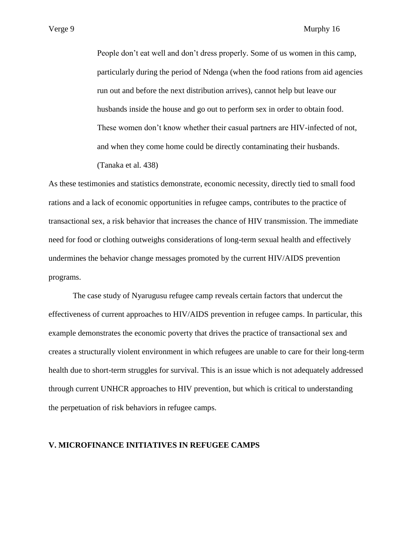People don"t eat well and don"t dress properly. Some of us women in this camp, particularly during the period of Ndenga (when the food rations from aid agencies run out and before the next distribution arrives), cannot help but leave our husbands inside the house and go out to perform sex in order to obtain food. These women don"t know whether their casual partners are HIV-infected of not, and when they come home could be directly contaminating their husbands. (Tanaka et al. 438)

As these testimonies and statistics demonstrate, economic necessity, directly tied to small food rations and a lack of economic opportunities in refugee camps, contributes to the practice of transactional sex, a risk behavior that increases the chance of HIV transmission. The immediate need for food or clothing outweighs considerations of long-term sexual health and effectively undermines the behavior change messages promoted by the current HIV/AIDS prevention programs.

The case study of Nyarugusu refugee camp reveals certain factors that undercut the effectiveness of current approaches to HIV/AIDS prevention in refugee camps. In particular, this example demonstrates the economic poverty that drives the practice of transactional sex and creates a structurally violent environment in which refugees are unable to care for their long-term health due to short-term struggles for survival. This is an issue which is not adequately addressed through current UNHCR approaches to HIV prevention, but which is critical to understanding the perpetuation of risk behaviors in refugee camps.

## **V. MICROFINANCE INITIATIVES IN REFUGEE CAMPS**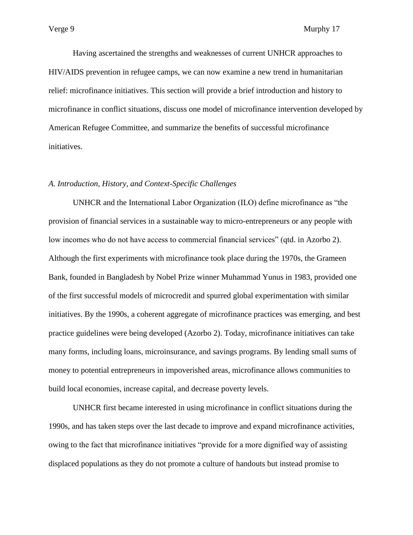Having ascertained the strengths and weaknesses of current UNHCR approaches to HIV/AIDS prevention in refugee camps, we can now examine a new trend in humanitarian relief: microfinance initiatives. This section will provide a brief introduction and history to microfinance in conflict situations, discuss one model of microfinance intervention developed by American Refugee Committee, and summarize the benefits of successful microfinance initiatives.

## *A. Introduction, History, and Context-Specific Challenges*

UNHCR and the International Labor Organization (ILO) define microfinance as "the provision of financial services in a sustainable way to micro-entrepreneurs or any people with low incomes who do not have access to commercial financial services" (qtd. in Azorbo 2). Although the first experiments with microfinance took place during the 1970s, the Grameen Bank, founded in Bangladesh by Nobel Prize winner Muhammad Yunus in 1983, provided one of the first successful models of microcredit and spurred global experimentation with similar initiatives. By the 1990s, a coherent aggregate of microfinance practices was emerging, and best practice guidelines were being developed (Azorbo 2). Today, microfinance initiatives can take many forms, including loans, microinsurance, and savings programs. By lending small sums of money to potential entrepreneurs in impoverished areas, microfinance allows communities to build local economies, increase capital, and decrease poverty levels.

UNHCR first became interested in using microfinance in conflict situations during the 1990s, and has taken steps over the last decade to improve and expand microfinance activities, owing to the fact that microfinance initiatives "provide for a more dignified way of assisting displaced populations as they do not promote a culture of handouts but instead promise to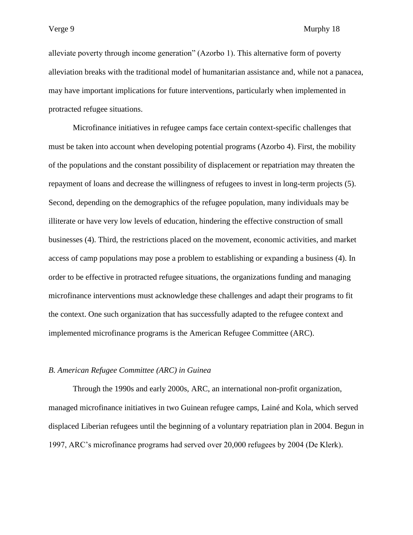alleviate poverty through income generation" (Azorbo 1). This alternative form of poverty alleviation breaks with the traditional model of humanitarian assistance and, while not a panacea, may have important implications for future interventions, particularly when implemented in protracted refugee situations.

Microfinance initiatives in refugee camps face certain context-specific challenges that must be taken into account when developing potential programs (Azorbo 4). First, the mobility of the populations and the constant possibility of displacement or repatriation may threaten the repayment of loans and decrease the willingness of refugees to invest in long-term projects (5). Second, depending on the demographics of the refugee population, many individuals may be illiterate or have very low levels of education, hindering the effective construction of small businesses (4). Third, the restrictions placed on the movement, economic activities, and market access of camp populations may pose a problem to establishing or expanding a business (4). In order to be effective in protracted refugee situations, the organizations funding and managing microfinance interventions must acknowledge these challenges and adapt their programs to fit the context. One such organization that has successfully adapted to the refugee context and implemented microfinance programs is the American Refugee Committee (ARC).

#### *B. American Refugee Committee (ARC) in Guinea*

Through the 1990s and early 2000s, ARC, an international non-profit organization, managed microfinance initiatives in two Guinean refugee camps, Lainé and Kola, which served displaced Liberian refugees until the beginning of a voluntary repatriation plan in 2004. Begun in 1997, ARC"s microfinance programs had served over 20,000 refugees by 2004 (De Klerk).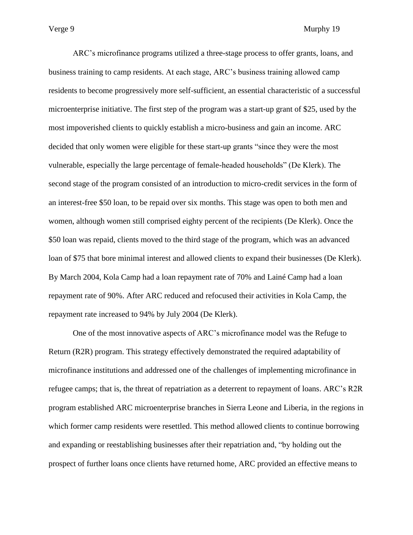ARC"s microfinance programs utilized a three-stage process to offer grants, loans, and business training to camp residents. At each stage, ARC"s business training allowed camp residents to become progressively more self-sufficient, an essential characteristic of a successful microenterprise initiative. The first step of the program was a start-up grant of \$25, used by the most impoverished clients to quickly establish a micro-business and gain an income. ARC decided that only women were eligible for these start-up grants "since they were the most vulnerable, especially the large percentage of female-headed households" (De Klerk). The second stage of the program consisted of an introduction to micro-credit services in the form of an interest-free \$50 loan, to be repaid over six months. This stage was open to both men and women, although women still comprised eighty percent of the recipients (De Klerk). Once the \$50 loan was repaid, clients moved to the third stage of the program, which was an advanced loan of \$75 that bore minimal interest and allowed clients to expand their businesses (De Klerk). By March 2004, Kola Camp had a loan repayment rate of 70% and Lainé Camp had a loan repayment rate of 90%. After ARC reduced and refocused their activities in Kola Camp, the repayment rate increased to 94% by July 2004 (De Klerk).

One of the most innovative aspects of ARC"s microfinance model was the Refuge to Return (R2R) program. This strategy effectively demonstrated the required adaptability of microfinance institutions and addressed one of the challenges of implementing microfinance in refugee camps; that is, the threat of repatriation as a deterrent to repayment of loans. ARC"s R2R program established ARC microenterprise branches in Sierra Leone and Liberia, in the regions in which former camp residents were resettled. This method allowed clients to continue borrowing and expanding or reestablishing businesses after their repatriation and, "by holding out the prospect of further loans once clients have returned home, ARC provided an effective means to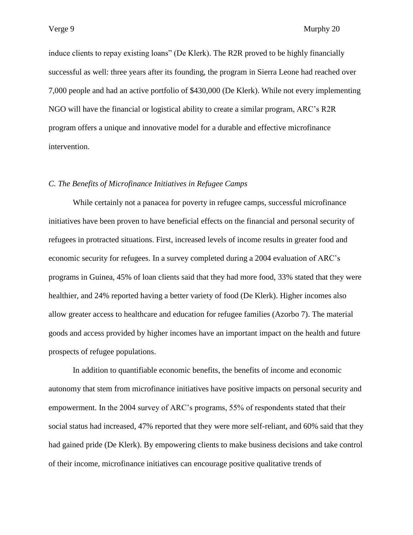induce clients to repay existing loans" (De Klerk). The R2R proved to be highly financially successful as well: three years after its founding, the program in Sierra Leone had reached over 7,000 people and had an active portfolio of \$430,000 (De Klerk). While not every implementing NGO will have the financial or logistical ability to create a similar program, ARC"s R2R program offers a unique and innovative model for a durable and effective microfinance intervention.

## *C. The Benefits of Microfinance Initiatives in Refugee Camps*

While certainly not a panacea for poverty in refugee camps, successful microfinance initiatives have been proven to have beneficial effects on the financial and personal security of refugees in protracted situations. First, increased levels of income results in greater food and economic security for refugees. In a survey completed during a 2004 evaluation of ARC"s programs in Guinea, 45% of loan clients said that they had more food, 33% stated that they were healthier, and 24% reported having a better variety of food (De Klerk). Higher incomes also allow greater access to healthcare and education for refugee families (Azorbo 7). The material goods and access provided by higher incomes have an important impact on the health and future prospects of refugee populations.

In addition to quantifiable economic benefits, the benefits of income and economic autonomy that stem from microfinance initiatives have positive impacts on personal security and empowerment. In the 2004 survey of ARC"s programs, 55% of respondents stated that their social status had increased, 47% reported that they were more self-reliant, and 60% said that they had gained pride (De Klerk). By empowering clients to make business decisions and take control of their income, microfinance initiatives can encourage positive qualitative trends of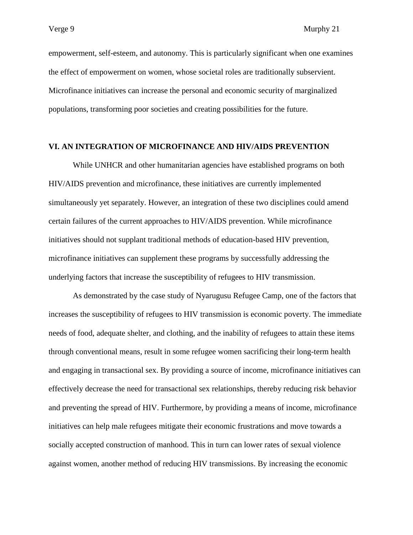empowerment, self-esteem, and autonomy. This is particularly significant when one examines the effect of empowerment on women, whose societal roles are traditionally subservient. Microfinance initiatives can increase the personal and economic security of marginalized populations, transforming poor societies and creating possibilities for the future.

# **VI. AN INTEGRATION OF MICROFINANCE AND HIV/AIDS PREVENTION**

While UNHCR and other humanitarian agencies have established programs on both HIV/AIDS prevention and microfinance, these initiatives are currently implemented simultaneously yet separately. However, an integration of these two disciplines could amend certain failures of the current approaches to HIV/AIDS prevention. While microfinance initiatives should not supplant traditional methods of education-based HIV prevention, microfinance initiatives can supplement these programs by successfully addressing the underlying factors that increase the susceptibility of refugees to HIV transmission.

As demonstrated by the case study of Nyarugusu Refugee Camp, one of the factors that increases the susceptibility of refugees to HIV transmission is economic poverty. The immediate needs of food, adequate shelter, and clothing, and the inability of refugees to attain these items through conventional means, result in some refugee women sacrificing their long-term health and engaging in transactional sex. By providing a source of income, microfinance initiatives can effectively decrease the need for transactional sex relationships, thereby reducing risk behavior and preventing the spread of HIV. Furthermore, by providing a means of income, microfinance initiatives can help male refugees mitigate their economic frustrations and move towards a socially accepted construction of manhood. This in turn can lower rates of sexual violence against women, another method of reducing HIV transmissions. By increasing the economic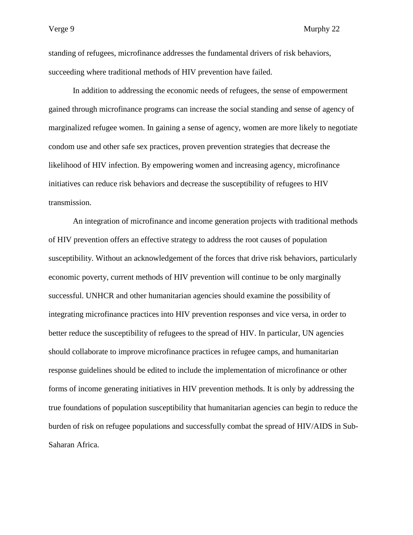standing of refugees, microfinance addresses the fundamental drivers of risk behaviors, succeeding where traditional methods of HIV prevention have failed.

In addition to addressing the economic needs of refugees, the sense of empowerment gained through microfinance programs can increase the social standing and sense of agency of marginalized refugee women. In gaining a sense of agency, women are more likely to negotiate condom use and other safe sex practices, proven prevention strategies that decrease the likelihood of HIV infection. By empowering women and increasing agency, microfinance initiatives can reduce risk behaviors and decrease the susceptibility of refugees to HIV transmission.

An integration of microfinance and income generation projects with traditional methods of HIV prevention offers an effective strategy to address the root causes of population susceptibility. Without an acknowledgement of the forces that drive risk behaviors, particularly economic poverty, current methods of HIV prevention will continue to be only marginally successful. UNHCR and other humanitarian agencies should examine the possibility of integrating microfinance practices into HIV prevention responses and vice versa, in order to better reduce the susceptibility of refugees to the spread of HIV. In particular, UN agencies should collaborate to improve microfinance practices in refugee camps, and humanitarian response guidelines should be edited to include the implementation of microfinance or other forms of income generating initiatives in HIV prevention methods. It is only by addressing the true foundations of population susceptibility that humanitarian agencies can begin to reduce the burden of risk on refugee populations and successfully combat the spread of HIV/AIDS in Sub-Saharan Africa.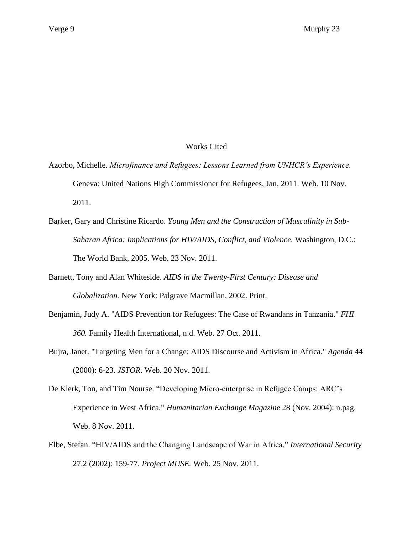# Works Cited

- Azorbo, Michelle. *Microfinance and Refugees: Lessons Learned from UNHCR's Experience.* Geneva: United Nations High Commissioner for Refugees, Jan. 2011. Web. 10 Nov. 2011.
- Barker, Gary and Christine Ricardo. *Young Men and the Construction of Masculinity in Sub-Saharan Africa: Implications for HIV/AIDS, Conflict, and Violence.* Washington, D.C.: The World Bank, 2005. Web. 23 Nov. 2011.
- Barnett, Tony and Alan Whiteside. *AIDS in the Twenty-First Century: Disease and Globalization.* New York: Palgrave Macmillan, 2002. Print.
- Benjamin, Judy A. "AIDS Prevention for Refugees: The Case of Rwandans in Tanzania." *FHI 360.* Family Health International, n.d. Web. 27 Oct. 2011.
- Bujra, Janet. "Targeting Men for a Change: AIDS Discourse and Activism in Africa." *Agenda* 44 (2000): 6-23. *JSTOR*. Web. 20 Nov. 2011.
- De Klerk, Ton, and Tim Nourse. "Developing Micro-enterprise in Refugee Camps: ARC"s Experience in West Africa." *Humanitarian Exchange Magazine* 28 (Nov. 2004): n.pag. Web. 8 Nov. 2011.
- Elbe, Stefan. "HIV/AIDS and the Changing Landscape of War in Africa." *International Security* 27.2 (2002): 159-77. *Project MUSE.* Web. 25 Nov. 2011.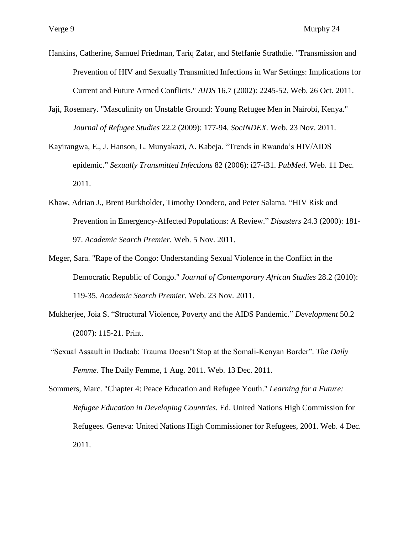- Hankins, Catherine, Samuel Friedman, Tariq Zafar, and Steffanie Strathdie. "Transmission and Prevention of HIV and Sexually Transmitted Infections in War Settings: Implications for Current and Future Armed Conflicts." *AIDS* 16.7 (2002): 2245-52. Web. 26 Oct. 2011.
- Jaji, Rosemary. "Masculinity on Unstable Ground: Young Refugee Men in Nairobi, Kenya." *Journal of Refugee Studies* 22.2 (2009): 177-94. *SocINDEX.* Web. 23 Nov. 2011.
- Kayirangwa, E., J. Hanson, L. Munyakazi, A. Kabeja. "Trends in Rwanda"s HIV/AIDS epidemic." *Sexually Transmitted Infections* 82 (2006): i27-i31. *PubMed*. Web. 11 Dec. 2011.
- Khaw, Adrian J., Brent Burkholder, Timothy Dondero, and Peter Salama. "HIV Risk and Prevention in Emergency-Affected Populations: A Review." *Disasters* 24.3 (2000): 181- 97. *Academic Search Premier.* Web. 5 Nov. 2011.
- Meger, Sara. "Rape of the Congo: Understanding Sexual Violence in the Conflict in the Democratic Republic of Congo." *Journal of Contemporary African Studies* 28.2 (2010): 119-35. *Academic Search Premier*. Web. 23 Nov. 2011.
- Mukherjee, Joia S. "Structural Violence, Poverty and the AIDS Pandemic." *Development* 50.2 (2007): 115-21. Print.
- "Sexual Assault in Dadaab: Trauma Doesn"t Stop at the Somali-Kenyan Border". *The Daily Femme.* The Daily Femme, 1 Aug. 2011. Web. 13 Dec. 2011.

Sommers, Marc. "Chapter 4: Peace Education and Refugee Youth." *Learning for a Future: Refugee Education in Developing Countries.* Ed. United Nations High Commission for Refugees. Geneva: United Nations High Commissioner for Refugees, 2001. Web. 4 Dec. 2011.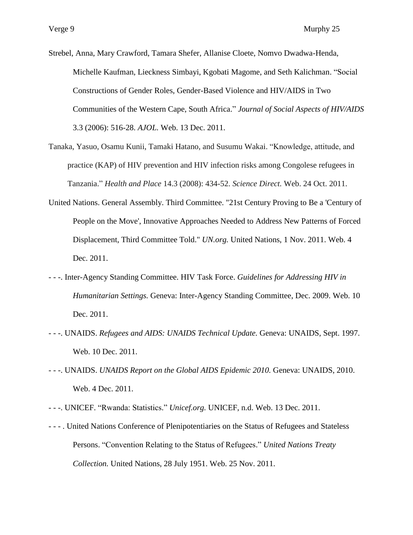Strebel, Anna, Mary Crawford, Tamara Shefer, Allanise Cloete, Nomvo Dwadwa-Henda, Michelle Kaufman, Lieckness Simbayi, Kgobati Magome, and Seth Kalichman. "Social Constructions of Gender Roles, Gender-Based Violence and HIV/AIDS in Two Communities of the Western Cape, South Africa." *Journal of Social Aspects of HIV/AIDS* 3.3 (2006): 516-28. *AJOL.* Web. 13 Dec. 2011.

- Tanaka, Yasuo, Osamu Kunii, Tamaki Hatano, and Susumu Wakai. "Knowledge, attitude, and practice (KAP) of HIV prevention and HIV infection risks among Congolese refugees in Tanzania." *Health and Place* 14.3 (2008): 434-52. *Science Direct.* Web. 24 Oct. 2011.
- United Nations. General Assembly. Third Committee. "21st Century Proving to Be a 'Century of People on the Move', Innovative Approaches Needed to Address New Patterns of Forced Displacement, Third Committee Told." *UN.org.* United Nations, 1 Nov. 2011. Web. 4 Dec. 2011.
- - -. Inter-Agency Standing Committee. HIV Task Force. *Guidelines for Addressing HIV in Humanitarian Settings.* Geneva: Inter-Agency Standing Committee, Dec. 2009. Web. 10 Dec. 2011.
- - -. UNAIDS. *Refugees and AIDS: UNAIDS Technical Update.* Geneva: UNAIDS, Sept. 1997. Web. 10 Dec. 2011.
- - -. UNAIDS. *UNAIDS Report on the Global AIDS Epidemic 2010.* Geneva: UNAIDS, 2010. Web. 4 Dec. 2011.
- - -. UNICEF. "Rwanda: Statistics." *Unicef.org.* UNICEF, n.d. Web. 13 Dec. 2011.
- - . United Nations Conference of Plenipotentiaries on the Status of Refugees and Stateless Persons. "Convention Relating to the Status of Refugees." *United Nations Treaty Collection.* United Nations, 28 July 1951. Web. 25 Nov. 2011.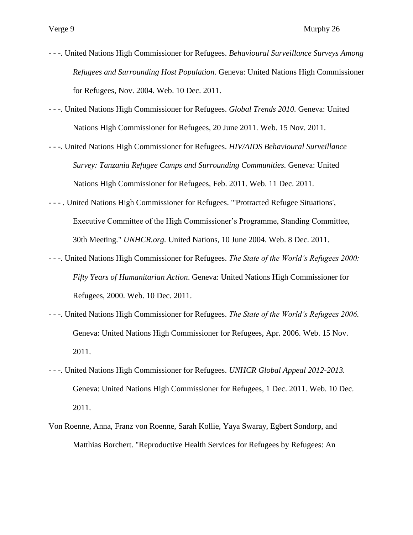- - -. United Nations High Commissioner for Refugees. *Behavioural Surveillance Surveys Among Refugees and Surrounding Host Population.* Geneva: United Nations High Commissioner for Refugees, Nov. 2004. Web. 10 Dec. 2011.
- - -. United Nations High Commissioner for Refugees. *Global Trends 2010.* Geneva: United Nations High Commissioner for Refugees, 20 June 2011. Web. 15 Nov. 2011.
- - -. United Nations High Commissioner for Refugees. *HIV/AIDS Behavioural Surveillance Survey: Tanzania Refugee Camps and Surrounding Communities.* Geneva: United Nations High Commissioner for Refugees, Feb. 2011. Web. 11 Dec. 2011.
- - . United Nations High Commissioner for Refugees. "'Protracted Refugee Situations', Executive Committee of the High Commissioner"s Programme, Standing Committee, 30th Meeting." *UNHCR.org.* United Nations, 10 June 2004. Web. 8 Dec. 2011.
- - -. United Nations High Commissioner for Refugees. *The State of the World's Refugees 2000: Fifty Years of Humanitarian Action*. Geneva: United Nations High Commissioner for Refugees, 2000. Web. 10 Dec. 2011.
- - -. United Nations High Commissioner for Refugees. *The State of the World's Refugees 2006.* Geneva: United Nations High Commissioner for Refugees, Apr. 2006. Web. 15 Nov. 2011.
- - -. United Nations High Commissioner for Refugees. *UNHCR Global Appeal 2012-2013.* Geneva: United Nations High Commissioner for Refugees, 1 Dec. 2011. Web. 10 Dec. 2011.
- Von Roenne, Anna, Franz von Roenne, Sarah Kollie, Yaya Swaray, Egbert Sondorp, and Matthias Borchert. "Reproductive Health Services for Refugees by Refugees: An